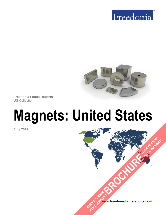



**Freedonia Focus Reports** US Collection

# **Magnets: United States**

**July 2019**

**[www.freedoniafocusreports.com](https://www.freedoniafocusreports.com/redirect.asp?progid=89534&url=/)** CLICK TO ORDER **FULL REPORT** 

**[BROCHURE](https://www.freedoniafocusreports.com/Magnets-United-States-FF65066/?progid=89541) CLICK TO ORDER** 

**FULL REPORT**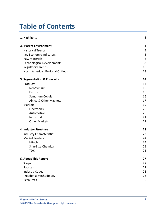# **Table of Contents**

| 1. Highlights                     | 3  |
|-----------------------------------|----|
| 2. Market Environment             | 4  |
| <b>Historical Trends</b>          | 4  |
| <b>Key Economic Indicators</b>    | 5  |
| <b>Raw Materials</b>              | 6  |
| <b>Technological Developments</b> | 8  |
| <b>Regulatory Trends</b>          | 10 |
| North American Regional Outlook   | 13 |
| 3. Segmentation & Forecasts       | 14 |
| Products                          | 14 |
| Neodymium                         | 15 |
| Ferrite                           | 16 |
| Samarium Cobalt                   | 16 |
| Alnico & Other Magnets            | 17 |
| Markets                           | 19 |
| Electronics                       | 20 |
| Automotive                        | 20 |
| Industrial                        | 21 |
| <b>Other Markets</b>              | 21 |
| 4. Industry Structure             | 23 |
| <b>Industry Characteristics</b>   | 23 |
| <b>Market Leaders</b>             | 24 |
| Hitachi                           | 24 |
| Shin-Etsu Chemical                | 25 |
| <b>TDK</b>                        | 25 |
| 5. About This Report              | 27 |
| Scope                             | 27 |
| Sources                           | 27 |
| <b>Industry Codes</b>             | 28 |
| Freedonia Methodology             | 28 |
| Resources                         | 30 |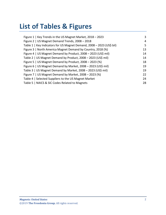# **List of Tables & Figures**

| Figure 1   Key Trends in the US Magnet Market, 2018 - 2023            | 3  |
|-----------------------------------------------------------------------|----|
| Figure 2   US Magnet Demand Trends, 2008 - 2018                       | 4  |
| Table 1   Key Indicators for US Magnet Demand, 2008 - 2023 (US\$ bil) | 5. |
| Figure 3   North America Magnet Demand by Country, 2018 (%)           | 13 |
| Figure 4   US Magnet Demand by Product, 2008 - 2023 (US\$ mil)        | 14 |
| Table 2   US Magnet Demand by Product, 2008 - 2023 (US\$ mil)         | 14 |
| Figure 5   US Magnet Demand by Product, 2008 - 2023 (%)               | 18 |
| Figure 6   US Magnet Demand by Market, 2008 - 2023 (US\$ mil)         | 19 |
| Table 3   US Magnet Demand by Market, 2008 - 2023 (US\$ mil)          | 19 |
| Figure 7   US Magnet Demand by Market, 2008 - 2023 (%)                | 22 |
| Table 4   Selected Suppliers to the US Magnet Market                  | 24 |
| Table 5   NAICS & SIC Codes Related to Magnets                        | 28 |
|                                                                       |    |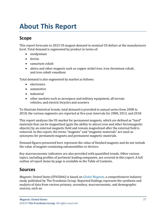# <span id="page-3-0"></span>**About This Report**

## <span id="page-3-1"></span>**Scope**

This report forecasts to 2023 US magnet demand in nominal US dollars at the manufacturer level. Total demand is segmented by product in terms of:

- neodymium
- ferrite
- samarium cobalt
- alnico and other magnets such as copper nickel iron, iron chromium cobalt, and iron cobalt vanadium

Total demand is also segmented by market as follows:

- electronics
- automotive
- industrial
- other markets such as aerospace and military equipment, all-terrain vehicles, and electric bicycles and scooters

To illustrate historical trends, total demand is provided in annual series from 2008 to 2018; the various segments are reported at five-year intervals for 2008, 2013, and 2018.

This report analyzes the US market for permanent magnets, which are defined as "hard" materials that can be magnetized (gain the ability to attract iron and other ferromagnetic objects) by an external magnetic field and remain magnetized after the external field is removed. In this report, the terms "magnets" and "magnetic materials" are used as synonyms for permanent magnets and permanent magnetic materials.

Demand figures presented here represent the value of finished magnets and do not include the value of magnet-containing subassemblies or devices.

Key macroeconomic indicators are also provided with quantified trends. Other various topics, including profiles of pertinent leading companies, are covered in this report. A full outline of report items by page is available in the Table of Contents.

### <span id="page-3-2"></span>**Sources**

*Magnets: United States* (FF65066) is based on *[Global Magnets,](http://www.freedoniagroup.com/DocumentDetails.aspx?ReferrerId=FL-FOCUS&studyid=W1001)* a comprehensive industry study published by The Freedonia Group. Reported findings represent the synthesis and analysis of data from various primary, secondary, macroeconomic, and demographic sources, such as: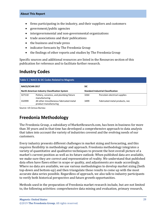- firms participating in the industry, and their suppliers and customers
- government/public agencies
- intergovernmental and non-governmental organizations
- trade associations and their publications
- the business and trade press
- indicator forecasts by The Freedonia Group
- the findings of other reports and studies by The Freedonia Group

Specific sources and additional resources are listed in the Resources section of this publication for reference and to facilitate further research.

# <span id="page-4-0"></span>**Industry Codes**

<span id="page-4-2"></span>

| Table 5   NAICS & SIC Codes Related to Magnets |                                                                   |            |                                           |  |
|------------------------------------------------|-------------------------------------------------------------------|------------|-------------------------------------------|--|
| NAICS/SCIAN 2017                               |                                                                   | <b>SIC</b> |                                           |  |
|                                                | <b>North American Industry Classification System</b>              |            | <b>Standard Industrial Classification</b> |  |
| 327110                                         | Pottery, ceramics, and plumbing fixture<br>manufacturing          | 3264       | Porcelain electrical supplies             |  |
| 332999                                         | All other miscellaneous fabricated metal<br>product manufacturing | 3499       | Fabricated metal products, nec            |  |

Source: US Census Bureau

# <span id="page-4-1"></span>**Freedonia Methodology**

The Freedonia Group, a subsidiary of MarketResearch.com, has been in business for more than 30 years and in that time has developed a comprehensive approach to data analysis that takes into account the variety of industries covered and the evolving needs of our customers.

Every industry presents different challenges in market sizing and forecasting, and this requires flexibility in methodology and approach. Freedonia methodology integrates a variety of quantitative and qualitative techniques to present the best overall picture of a market's current position as well as its future outlook: When published data are available, we make sure they are correct and representative of reality. We understand that published data often have flaws either in scope or quality, and adjustments are made accordingly. Where no data are available, we use various methodologies to develop market sizing (both top-down and bottom-up) and then triangulate those results to come up with the most accurate data series possible. Regardless of approach, we also talk to industry participants to verify both historical perspective and future growth opportunities.

Methods used in the preparation of Freedonia market research include, but are not limited to, the following activities: comprehensive data mining and evaluation, primary research,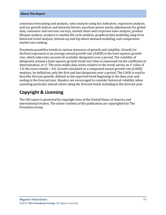#### **About This Report**

consensus forecasting and analysis, ratio analysis using key indicators, regression analysis, end use growth indices and intensity factors, purchase power parity adjustments for global data, consumer and end user surveys, market share and corporate sales analysis, product lifespan analysis, product or market life cycle analysis, graphical data modeling, long-term historical trend analysis, bottom-up and top-down demand modeling, and comparative market size ranking.

Freedonia quantifies trends in various measures of growth and volatility. Growth (or decline) expressed as an average annual growth rate (AAGR) is the least squares growth rate, which takes into account all available datapoints over a period. The volatility of datapoints around a least squares growth trend over time is expressed via the coefficient of determination, or  $r^2$ . The most stable data series relative to the trend carries an  $r^2$  value of 1.0; the most volatile – 0.0. Growth calculated as a compound annual growth rate (CAGR) employs, by definition, only the first and last datapoints over a period. The CAGR is used to describe forecast growth, defined as the expected trend beginning in the base year and ending in the forecast year. Readers are encouraged to consider historical volatility when assessing particular annual values along the forecast trend, including in the forecast year.

### **Copyright & Licensing**

The full report is protected by copyright laws of the United States of America and international treaties. The entire contents of the publication are copyrighted by The Freedonia Group.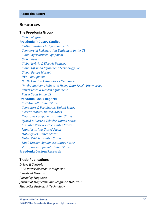#### <span id="page-6-0"></span>**Resources**

#### **The Freedonia Group**

 *[Global Magnets](http://www.freedoniagroup.com/DocumentDetails.aspx?ReferrerId=FL-FOCUS&studyid=W1001)* **[Freedonia Industry Studies](http://www.freedoniagroup.com/Home.aspx?ReferrerId=FL-Focus)**

 *[Clothes Washers & Dryers in the US](http://www.freedoniagroup.com/DocumentDetails.aspx?ReferrerId=FL-FOCUS&studyid=3620)*

 *[Commercial Refrigeration Equipment in the US](http://www.freedoniagroup.com/DocumentDetails.aspx?ReferrerId=FL-FOCUS&studyid=3643)*

 *[Global Agricultural Equipment](http://www.freedoniagroup.com/DocumentDetails.aspx?ReferrerId=FL-FOCUS&studyid=3683)*

 *[Global Buses](http://www.freedoniagroup.com/DocumentDetails.aspx?ReferrerId=FL-FOCUS&studyid=3733)*

 *[Global Hybrid & Electric Vehicles](http://www.freedoniagroup.com/DocumentDetails.aspx?ReferrerId=FL-FOCUS&studyid=3627)*

 *[Global Off-Road Equipment Technology 2019](http://www.freedoniagroup.com/DocumentDetails.aspx?ReferrerId=FL-FOCUS&studyid=3710)*

 *[Global Pumps Market](http://www.freedoniagroup.com/DocumentDetails.aspx?ReferrerId=FL-FOCUS&studyid=3625)*

 *[HVAC Equipment](http://www.freedoniagroup.com/DocumentDetails.aspx?ReferrerId=FL-FOCUS&studyid=3730)*

 *[North America Automotive Aftermarket](http://www.freedoniagroup.com/DocumentDetails.aspx?ReferrerId=FL-FOCUS&studyid=3577)*

*North American Medium- [& Heavy-Duty Truck Aftermarket](http://www.freedoniagroup.com/DocumentDetails.aspx?ReferrerId=FL-FOCUS&studyid=3601)*

 *[Power Lawn & Garden Equipment](http://www.freedoniagroup.com/DocumentDetails.aspx?ReferrerId=FL-FOCUS&studyid=3674)*

 *[Power Tools in the US](http://www.freedoniagroup.com/DocumentDetails.aspx?ReferrerId=FL-FOCUS&studyid=3628)*

#### **[Freedonia Focus Reports](https://www.freedoniafocusreports.com/redirect.asp?progid=89534&url=/)**

 *[Civil Aircraft: United States](https://www.freedoniafocusreports.com/Civil-Aircraft-United-States-FF85011/?progid=89534) [Computers & Peripherals: United States](https://www.freedoniafocusreports.com/Computers-Peripherals-United-States-FF80047/?progid=89534) [Electric Motors: United States](https://www.freedoniafocusreports.com/Electric-Motors-United-States-FF45044/?progid=89534) [Electronic Components: United States](https://www.freedoniafocusreports.com/Electronic-Components-United-States-FF80018/?progid=89534) [Hybrid & Electric Vehicles: United States](https://www.freedoniafocusreports.com/Hybrid-Electric-Vehicles-United-States-FF85023/?progid=89534) [Insulated Wire & Cable: United States](https://www.freedoniafocusreports.com/Insulated-Wire-Cable-United-States-FF75031/?progid=89534) [Manufacturing: United States](https://www.freedoniafocusreports.com/Manufacturing-United-States-FF70032/?progid=89534) [Motorcycles: United States](https://www.freedoniafocusreports.com/Motorcycles-United-States-FF85016/?progid=89534) [Motor Vehicles: United States](https://www.freedoniafocusreports.com/Motor-Vehicles-United-States-FF85029/?progid=89534) [Small Kitchen Appliances: United States](https://www.freedoniafocusreports.com/Small-Kitchen-Appliances-United-States-FF90029/?progid=89534) [Transport Equipment: United States](https://www.freedoniafocusreports.com/Transport-Equipment-United-States-FF85030/?progid=89534)* **[Freedonia Custom Research](http://www.freedoniagroup.com/CustomResearch.aspx?ReferrerId=FL-Focus)**

### **Trade Publications**

*Drives & Controls IEEE Power Electronics Magazine Industrial Minerals Journal of Magnetics Journal of Magnetism and Magnetic Materials Magnetics Business & Technology*